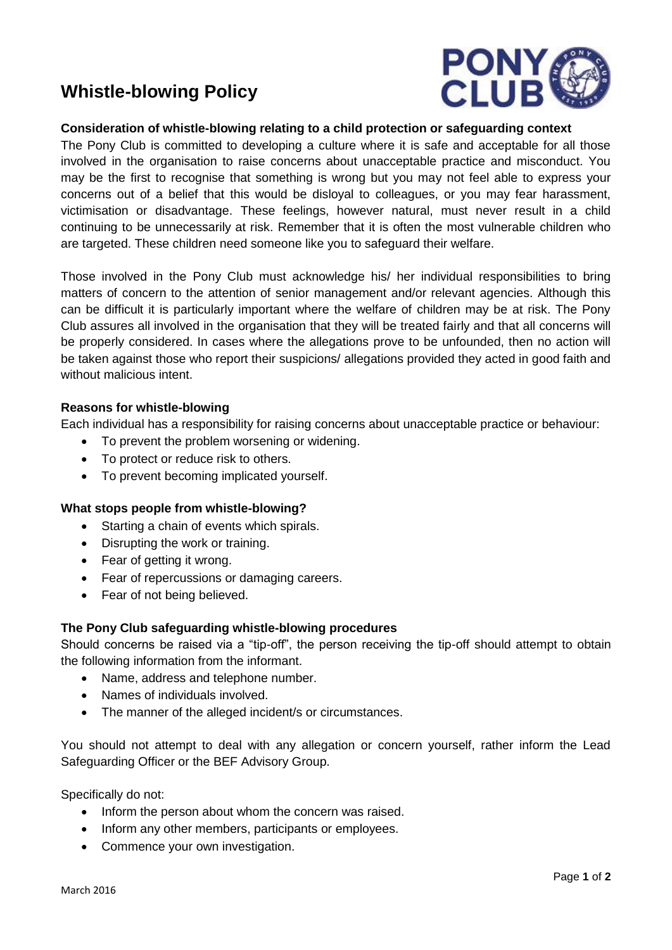# **Whistle-blowing Policy**



# **Consideration of whistle-blowing relating to a child protection or safeguarding context**

The Pony Club is committed to developing a culture where it is safe and acceptable for all those involved in the organisation to raise concerns about unacceptable practice and misconduct. You may be the first to recognise that something is wrong but you may not feel able to express your concerns out of a belief that this would be disloyal to colleagues, or you may fear harassment, victimisation or disadvantage. These feelings, however natural, must never result in a child continuing to be unnecessarily at risk. Remember that it is often the most vulnerable children who are targeted. These children need someone like you to safeguard their welfare.

Those involved in the Pony Club must acknowledge his/ her individual responsibilities to bring matters of concern to the attention of senior management and/or relevant agencies. Although this can be difficult it is particularly important where the welfare of children may be at risk. The Pony Club assures all involved in the organisation that they will be treated fairly and that all concerns will be properly considered. In cases where the allegations prove to be unfounded, then no action will be taken against those who report their suspicions/ allegations provided they acted in good faith and without malicious intent.

## **Reasons for whistle-blowing**

Each individual has a responsibility for raising concerns about unacceptable practice or behaviour:

- To prevent the problem worsening or widening.
- To protect or reduce risk to others.
- To prevent becoming implicated yourself.

#### **What stops people from whistle-blowing?**

- Starting a chain of events which spirals.
- Disrupting the work or training.
- Fear of getting it wrong.
- Fear of repercussions or damaging careers.
- Fear of not being believed.

#### **The Pony Club safeguarding whistle-blowing procedures**

Should concerns be raised via a "tip-off", the person receiving the tip-off should attempt to obtain the following information from the informant.

- Name, address and telephone number.
- Names of individuals involved.
- The manner of the alleged incident/s or circumstances.

You should not attempt to deal with any allegation or concern yourself, rather inform the Lead Safeguarding Officer or the BEF Advisory Group.

Specifically do not:

- Inform the person about whom the concern was raised.
- Inform any other members, participants or employees.
- Commence your own investigation.